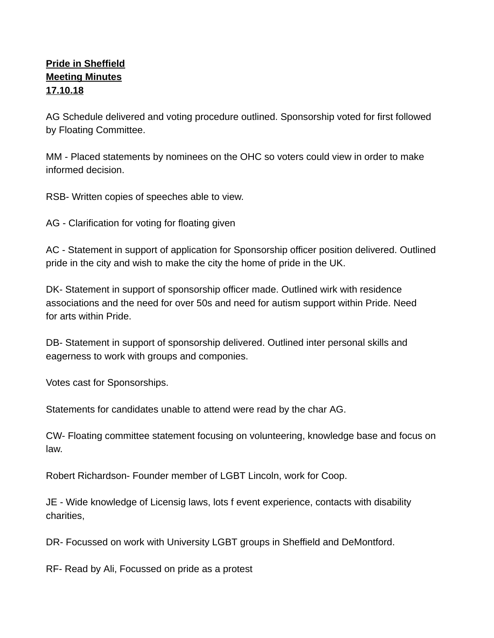## **Pride in Sheffield Meeting Minutes 17.10.18**

AG Schedule delivered and voting procedure outlined. Sponsorship voted for first followed by Floating Committee.

MM - Placed statements by nominees on the OHC so voters could view in order to make informed decision.

RSB- Written copies of speeches able to view.

AG - Clarification for voting for floating given

AC - Statement in support of application for Sponsorship officer position delivered. Outlined pride in the city and wish to make the city the home of pride in the UK.

DK- Statement in support of sponsorship officer made. Outlined wirk with residence associations and the need for over 50s and need for autism support within Pride. Need for arts within Pride.

DB- Statement in support of sponsorship delivered. Outlined inter personal skills and eagerness to work with groups and componies.

Votes cast for Sponsorships.

Statements for candidates unable to attend were read by the char AG.

CW- Floating committee statement focusing on volunteering, knowledge base and focus on law.

Robert Richardson- Founder member of LGBT Lincoln, work for Coop.

JE - Wide knowledge of Licensig laws, lots f event experience, contacts with disability charities,

DR- Focussed on work with University LGBT groups in Sheffield and DeMontford.

RF- Read by Ali, Focussed on pride as a protest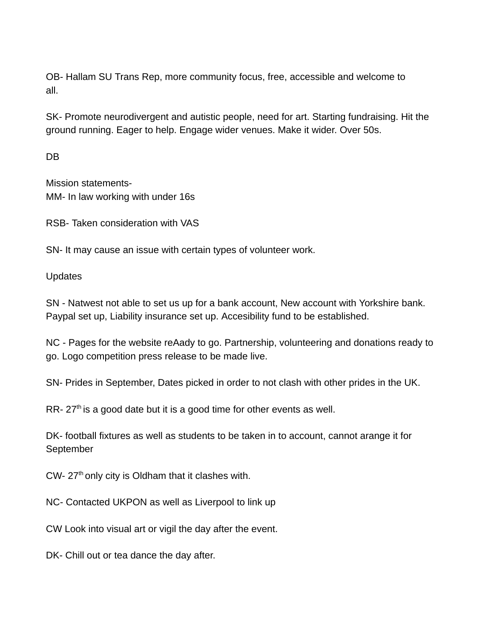OB- Hallam SU Trans Rep, more community focus, free, accessible and welcome to all.

SK- Promote neurodivergent and autistic people, need for art. Starting fundraising. Hit the ground running. Eager to help. Engage wider venues. Make it wider. Over 50s.

DB

Mission statements-MM- In law working with under 16s

RSB- Taken consideration with VAS

SN- It may cause an issue with certain types of volunteer work.

Updates

SN - Natwest not able to set us up for a bank account, New account with Yorkshire bank. Paypal set up, Liability insurance set up. Accesibility fund to be established.

NC - Pages for the website reAady to go. Partnership, volunteering and donations ready to go. Logo competition press release to be made live.

SN- Prides in September, Dates picked in order to not clash with other prides in the UK.

RR-  $27<sup>th</sup>$  is a good date but it is a good time for other events as well.

DK- football fixtures as well as students to be taken in to account, cannot arange it for September

 $CW-27<sup>th</sup>$  only city is Oldham that it clashes with.

NC- Contacted UKPON as well as Liverpool to link up

CW Look into visual art or vigil the day after the event.

DK- Chill out or tea dance the day after.